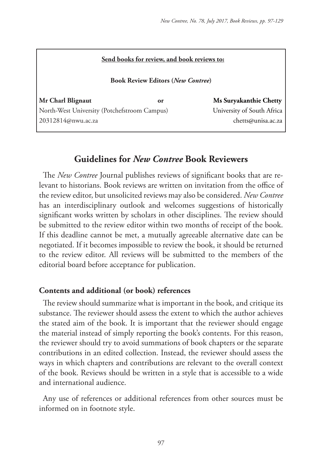#### **Send books for review, and book reviews to:**

#### **Book Review Editors (***New Contree***)**

**Mr Charl Blignaut or Ms Suryakanthie Chetty** North-West University (Potchefstroom Campus)University of South Africa 20312814@nwu.ac.za chetts@unisa.ac.za

# **Guidelines for** *New Contree* **Book Reviewers**

The *New Contree* Journal publishes reviews of significant books that are relevant to historians. Book reviews are written on invitation from the office of the review editor, but unsolicited reviews may also be considered. *New Contree*  has an interdisciplinary outlook and welcomes suggestions of historically significant works written by scholars in other disciplines. The review should be submitted to the review editor within two months of receipt of the book. If this deadline cannot be met, a mutually agreeable alternative date can be negotiated. If it becomes impossible to review the book, it should be returned to the review editor. All reviews will be submitted to the members of the editorial board before acceptance for publication.

#### **Contents and additional (or book) references**

The review should summarize what is important in the book, and critique its substance. The reviewer should assess the extent to which the author achieves the stated aim of the book. It is important that the reviewer should engage the material instead of simply reporting the book's contents. For this reason, the reviewer should try to avoid summations of book chapters or the separate contributions in an edited collection. Instead, the reviewer should assess the ways in which chapters and contributions are relevant to the overall context of the book. Reviews should be written in a style that is accessible to a wide and international audience.

Any use of references or additional references from other sources must be informed on in footnote style.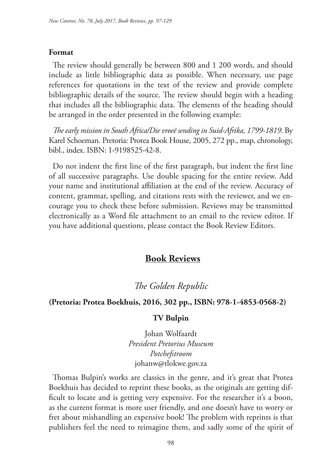#### **Format**

The review should generally be between 800 and 1 200 words, and should include as little bibliographic data as possible. When necessary, use page references for quotations in the text of the review and provide complete bibliographic details of the source. The review should begin with a heading that includes all the bibliographic data. The elements of the heading should be arranged in the order presented in the following example:

*The early mission in South Africa/Die vroeë sending in Suid-Afrika, 1799-1819*. By Karel Schoeman. Pretoria: Protea Book House, 2005, 272 pp., map, chronology, bibl., index. ISBN: 1-9198525-42-8.

Do not indent the first line of the first paragraph, but indent the first line of all successive paragraphs. Use double spacing for the entire review. Add your name and institutional affiliation at the end of the review. Accuracy of content, grammar, spelling, and citations rests with the reviewer, and we encourage you to check these before submission. Reviews may be transmitted electronically as a Word file attachment to an email to the review editor. If you have additional questions, please contact the Book Review Editors.

## **Book Reviews**

*The Golden Republic*

#### **(Pretoria: Protea Boekhuis, 2016, 302 pp., ISBN: 978-1-4853-0568-2)**

#### **TV Bulpin**

Johan Wolfaardt *President Pretorius Museum Potchefstroom* johanw@tlokwe.gov.za

Thomas Bulpin's works are classics in the genre, and it's great that Protea Boekhuis has decided to reprint these books, as the originals are getting difficult to locate and is getting very expensive. For the researcher it's a boon, as the current format is more user friendly, and one doesn't have to worry or fret about mishandling an expensive book! The problem with reprints is that publishers feel the need to reimagine them, and sadly some of the spirit of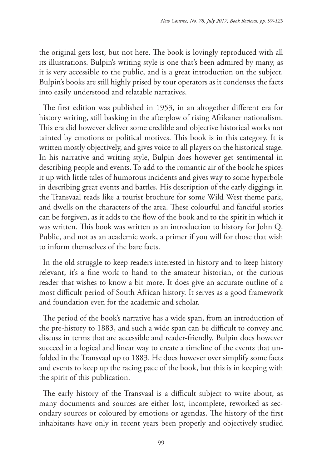the original gets lost, but not here. The book is lovingly reproduced with all its illustrations. Bulpin's writing style is one that's been admired by many, as it is very accessible to the public, and is a great introduction on the subject. Bulpin's books are still highly prised by tour operators as it condenses the facts into easily understood and relatable narratives.

The first edition was published in 1953, in an altogether different era for history writing, still basking in the afterglow of rising Afrikaner nationalism. This era did however deliver some credible and objective historical works not tainted by emotions or political motives. This book is in this category. It is written mostly objectively, and gives voice to all players on the historical stage. In his narrative and writing style, Bulpin does however get sentimental in describing people and events. To add to the romantic air of the book he spices it up with little tales of humorous incidents and gives way to some hyperbole in describing great events and battles. His description of the early diggings in the Transvaal reads like a tourist brochure for some Wild West theme park, and dwells on the characters of the area. These colourful and fanciful stories can be forgiven, as it adds to the flow of the book and to the spirit in which it was written. This book was written as an introduction to history for John Q. Public, and not as an academic work, a primer if you will for those that wish to inform themselves of the bare facts.

In the old struggle to keep readers interested in history and to keep history relevant, it's a fine work to hand to the amateur historian, or the curious reader that wishes to know a bit more. It does give an accurate outline of a most difficult period of South African history. It serves as a good framework and foundation even for the academic and scholar.

The period of the book's narrative has a wide span, from an introduction of the pre-history to 1883, and such a wide span can be difficult to convey and discuss in terms that are accessible and reader-friendly. Bulpin does however succeed in a logical and linear way to create a timeline of the events that unfolded in the Transvaal up to 1883. He does however over simplify some facts and events to keep up the racing pace of the book, but this is in keeping with the spirit of this publication.

The early history of the Transvaal is a difficult subject to write about, as many documents and sources are either lost, incomplete, reworked as secondary sources or coloured by emotions or agendas. The history of the first inhabitants have only in recent years been properly and objectively studied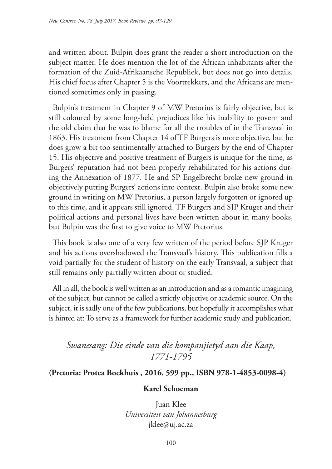and written about. Bulpin does grant the reader a short introduction on the subject matter. He does mention the lot of the African inhabitants after the formation of the Zuid-Afrikaansche Republiek, but does not go into details. His chief focus after Chapter 5 is the Voortrekkers, and the Africans are mentioned sometimes only in passing.

Bulpin's treatment in Chapter 9 of MW Pretorius is fairly objective, but is still coloured by some long-held prejudices like his inability to govern and the old claim that he was to blame for all the troubles of in the Transvaal in 1863. His treatment from Chapter 14 of TF Burgers is more objective, but he does grow a bit too sentimentally attached to Burgers by the end of Chapter 15. His objective and positive treatment of Burgers is unique for the time, as Burgers' reputation had not been properly rehabilitated for his actions during the Annexation of 1877. He and SP Engelbrecht broke new ground in objectively putting Burgers' actions into context. Bulpin also broke some new ground in writing on MW Pretorius, a person largely forgotten or ignored up to this time, and it appears still ignored. TF Burgers and SJP Kruger and their political actions and personal lives have been written about in many books, but Bulpin was the first to give voice to MW Pretorius.

This book is also one of a very few written of the period before SJP Kruger and his actions overshadowed the Transvaal's history. This publication fills a void partially for the student of history on the early Transvaal, a subject that still remains only partially written about or studied.

All in all, the book is well written as an introduction and as a romantic imagining of the subject, but cannot be called a strictly objective or academic source. On the subject, it is sadly one of the few publications, but hopefully it accomplishes what is hinted at: To serve as a framework for further academic study and publication.

*Swanesang: Die einde van die kompanjietyd aan die Kaap, 1771-1795*

## **(Pretoria: Protea Boekhuis , 2016, 599 pp., ISBN 978-1-4853-0098-4)**

#### **Karel Schoeman**

Juan Klee *Universiteit van Johannesburg* jklee@uj.ac.za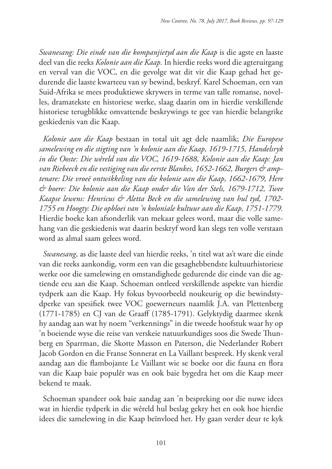*Swanesang: Die einde van die kompanjietyd aan die Kaap* is die agste en laaste deel van die reeks *Kolonie aan die Kaap.* In hierdie reeks word die agteruitgang en verval van die VOC, en die gevolge wat dit vir die Kaap gehad het gedurende die laaste kwarteeu van sy bewind, beskryf. Karel Schoeman, een van Suid-Afrika se mees produktiewe skrywers in terme van talle romanse, novelles, dramatekste en historiese werke, slaag daarin om in hierdie verskillende historiese terugblikke omvattende beskrywings te gee van hierdie belangrike geskiedenis van die Kaap.

*Kolonie aan die Kaap* bestaan in total uit agt dele naamlik; *Die Europese samelewing en die stigting van 'n kolonie aan die Kaap, 1619-1715, Handelsryk in die Ooste: Die wêreld van die VOC, 1619-1688, Kolonie aan die Kaap: Jan*  van Riebeeck en die vestiging van die eerste Blankes, 1652-1662, Burgers & amp*tenare: Die vroeë ontwikkeling van die kolonie aan die Kaap, 1662-1679, Here & boere: Die kolonie aan die Kaap onder die Van der Stels, 1679-1712, Twee Kaapse lewens: Henricus & Aletta Beck en die samelewing van hul tyd, 1702- 1755 en Hoogty: Die opbloei van 'n koloniale kultuur aan die Kaap, 1751-1779.* Hierdie boeke kan afsonderlik van mekaar gelees word, maar die volle samehang van die geskiedenis wat daarin beskryf word kan slegs ten volle verstaan word as almal saam gelees word.

*Swanesang*, as die laaste deel van hierdie reeks, 'n titel wat as't ware die einde van die reeks aankondig, vorm een van die gesaghebbendste kultuurhistoriese werke oor die samelewing en omstandighede gedurende die einde van die agtiende eeu aan die Kaap. Schoeman ontleed verskillende aspekte van hierdie tydperk aan die Kaap. Hy fokus byvoorbeeld noukeurig op die bewindstydperke van spesifiek twee VOC goewerneurs naamlik J.A. van Plettenberg (1771-1785) en CJ van de Graaff (1785-1791). Gelyktydig daarmee skenk hy aandag aan wat hy noem "verkennings" in die tweede hoofstuk waar hy op 'n boeiende wyse die reise van verskeie natuurkundiges soos die Swede Thunberg en Sparrman, die Skotte Masson en Paterson, die Nederlander Robert Jacob Gordon en die Franse Sonnerat en La Vaillant bespreek. Hy skenk veral aandag aan die flambojante Le Vaillant wie se boeke oor die fauna en flora van die Kaap baie populêr was en ook baie bygedra het om die Kaap meer bekend te maak.

Schoeman spandeer ook baie aandag aan 'n bespreking oor die nuwe idees wat in hierdie tydperk in die wêreld hul beslag gekry het en ook hoe hierdie idees die samelewing in die Kaap beïnvloed het. Hy gaan verder deur te kyk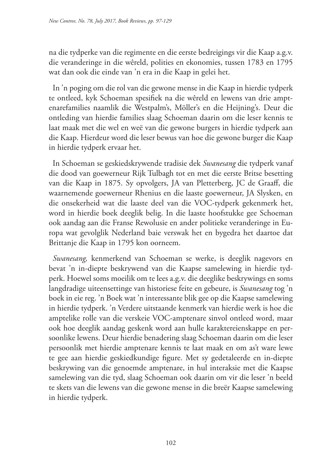na die tydperke van die regimente en die eerste bedreigings vir die Kaap a.g.v. die veranderinge in die wêreld, polities en ekonomies, tussen 1783 en 1795 wat dan ook die einde van 'n era in die Kaap in gelei het.

In 'n poging om die rol van die gewone mense in die Kaap in hierdie tydperk te ontleed, kyk Schoeman spesifiek na die wêreld en lewens van drie amptenarefamilies naamlik die Westpalm's, Möller's en die Heijning's. Deur die ontleding van hierdie families slaag Schoeman daarin om die leser kennis te laat maak met die wel en weë van die gewone burgers in hierdie tydperk aan die Kaap. Hierdeur word die leser bewus van hoe die gewone burger die Kaap in hierdie tydperk ervaar het.

In Schoeman se geskiedskrywende tradisie dek *Swanesang* die tydperk vanaf die dood van goewerneur Rijk Tulbagh tot en met die eerste Britse besetting van die Kaap in 1875. Sy opvolgers, JA van Pletterberg, JC de Graaff, die waarnemende goewerneur Rhenius en die laaste goewerneur, JA Slysken, en die onsekerheid wat die laaste deel van die VOC-tydperk gekenmerk het, word in hierdie boek deeglik belig. In die laaste hoofstukke gee Schoeman ook aandag aan die Franse Rewolusie en ander politieke veranderinge in Europa wat gevolglik Nederland baie verswak het en bygedra het daartoe dat Brittanje die Kaap in 1795 kon oorneem.

*Swanesang,* kenmerkend van Schoeman se werke, is deeglik nagevors en bevat 'n in-diepte beskrywend van die Kaapse samelewing in hierdie tydperk. Hoewel soms moeilik om te lees a.g.v. die deeglike beskrywings en soms langdradige uiteensettinge van historiese feite en gebeure, is *Swanesang* tog 'n boek in eie reg. 'n Boek wat 'n interessante blik gee op die Kaapse samelewing in hierdie tydperk. 'n Verdere uitstaande kenmerk van hierdie werk is hoe die amptelike rolle van die verskeie VOC-amptenare sinvol ontleed word, maar ook hoe deeglik aandag geskenk word aan hulle karaktereienskappe en persoonlike lewens. Deur hierdie benadering slaag Schoeman daarin om die leser persoonlik met hierdie amptenare kennis te laat maak en om as't ware lewe te gee aan hierdie geskiedkundige figure. Met sy gedetaleerde en in-diepte beskrywing van die genoemde amptenare, in hul interaksie met die Kaapse samelewing van die tyd, slaag Schoeman ook daarin om vir die leser 'n beeld te skets van die lewens van die gewone mense in die breër Kaapse samelewing in hierdie tydperk.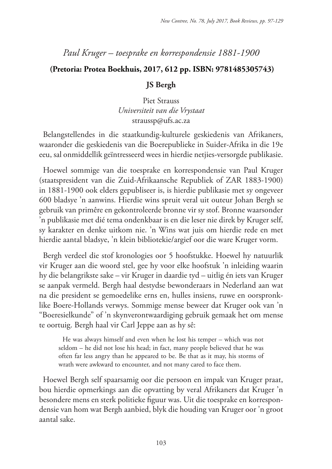# *Paul Kruger – toesprake en korrespondensie 1881-1900*

## **(Pretoria: Protea Boekhuis, 2017, 612 pp. ISBN: 9781485305743)**

## **JS Bergh**

Piet Strauss *Universiteit van die Vrystaat* straussp@ufs.ac.za

Belangstellendes in die staatkundig-kulturele geskiedenis van Afrikaners, waaronder die geskiedenis van die Boerepublieke in Suider-Afrika in die 19e eeu, sal onmiddellik geïntresseerd wees in hierdie netjies-versorgde publikasie.

Hoewel sommige van die toesprake en korrespondensie van Paul Kruger (staatspresident van die Zuid-Afrikaansche Republiek of ZAR 1883-1900) in 1881-1900 ook elders gepubliseer is, is hierdie publikasie met sy ongeveer 600 bladsye 'n aanwins. Hierdie wins spruit veral uit outeur Johan Bergh se gebruik van primêre en gekontroleerde bronne vir sy stof. Bronne waarsonder 'n publikasie met dié tema ondenkbaar is en die leser nie direk by Kruger self, sy karakter en denke uitkom nie. 'n Wins wat juis om hierdie rede en met hierdie aantal bladsye, 'n klein bibliotekie/argief oor die ware Kruger vorm.

Bergh verdeel die stof kronologies oor 5 hoofstukke. Hoewel hy natuurlik vir Kruger aan die woord stel, gee hy voor elke hoofstuk 'n inleiding waarin hy die belangrikste sake – vir Kruger in daardie tyd – uitlig én iets van Kruger se aanpak vermeld. Bergh haal destydse bewonderaars in Nederland aan wat na die president se gemoedelike erns en, hulles insiens, ruwe en oorspronklike Boere-Hollands verwys. Sommige mense beweer dat Kruger ook van 'n "Boeresielkunde" of 'n skynverontwaardiging gebruik gemaak het om mense te oortuig. Bergh haal vir Carl Jeppe aan as hy sê:

He was always himself and even when he lost his temper – which was not seldom – he did not lose his head; in fact, many people believed that he was often far less angry than he appeared to be. Be that as it may, his storms of wrath were awkward to encounter, and not many cared to face them.

Hoewel Bergh self spaarsamig oor die persoon en impak van Kruger praat, bou hierdie opmerkings aan die opvatting by veral Afrikaners dat Kruger 'n besondere mens en sterk politieke figuur was. Uit die toesprake en korrespondensie van hom wat Bergh aanbied, blyk die houding van Kruger oor 'n groot aantal sake.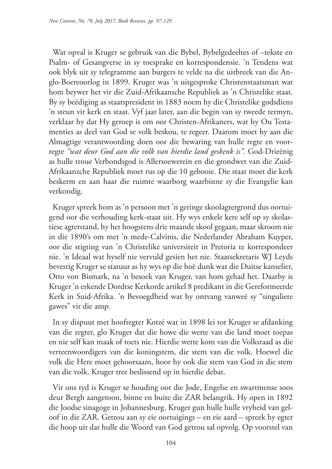Wat opval is Kruger se gebruik van die Bybel, Bybelgedeeltes of –tekste en Psalm- of Gesangverse in sy toesprake en korrespondensie. 'n Tendens wat ook blyk uit sy telegramme aan burgers te velde na die uitbreek van die Anglo-Boereoorlog in 1899. Kruger was 'n uitgesproke Christenstaatsman wat hom beywer het vir die Zuid-Afrikaansche Republiek as 'n Christelike staat. By sy beëdiging as staatspresident in 1883 noem hy die Christelike godsdiens 'n steun vir kerk en staat. Vyf jaar later, aan die begin van sy tweede termyn, verklaar hy dat Hy geroep is om oor Christen-Afrikaners, wat hy Ou Testamenties as deel van God se volk beskou, te regeer. Daarom moet hy aan die Almagtige verantwoording doen oor die bewaring van hulle regte en voorregte *"wat deur God aan die volk van hierdie land geskenk is".* God-Drieënig as hulle troue Verbondsgod is Allersoewerein en die grondwet van die Zuid-Afrikaanzche Republiek moet rus op die 10 gebooie. Die staat moet die kerk beskerm en aan haar die ruimte waarborg waarbinne sy die Evangelie kan verkondig.

Kruger spreek hom as 'n persoon met 'n geringe skoolagtergrond dus oortuigend oor die verhouding kerk-staat uit. Hy wys enkele kere self op sy skolastiese agterstand, hy het hoogstens drie maande skool gegaan, maar skroom nie in die 1890's om met 'n mede-Calvinis, die Nederlander Abraham Kuyper, oor die stigting van 'n Christelike universiteit in Pretoria te korrespondeer nie. 'n Ideaal wat hyself nie vervuld gesien het nie. Staatsekretaris WJ Leyds bevestig Kruger se statuur as hy wys op die hoë dunk wat die Duitse kanselier, Otto von Bismark, na 'n besoek van Kruger, van hom gehad het. Daarby is Kruger 'n erkende Dordtse Kerkorde artikel 8 predikant in die Gereformeerde Kerk in Suid-Afrika. 'n Bevoegdheid wat hy ontvang vanweë sy "singuliere gawes" vir die amp.

In sy dispuut met hoofregter Kotzé wat in 1898 lei tot Kruger se afdanking van die regter, glo Kruger dat die howe die wette van die land moet toepas en nie self kan maak of toets nie. Hierdie wette kom van die Volksraad as die verteenwoordigers van die koningstem, die stem van die volk. Hoewel die volk die Here moet gehoorsaam, hoor hy ook die stem van God in die stem van die volk. Kruger tree beslissend op in hierdie debat.

Vir ons tyd is Kruger se houding oor die Jode, Engelse en swartmense soos deur Bergh aangetoon, binne en buite die ZAR belangrik. Hy open in 1892 die Joodse sinagoge in Johannesburg. Kruger gun hulle hulle vryheid van geloof in die ZAR. Getrou aan sy eie oortuigings – en eie aard – spreek hy egter die hoop uit dat hulle die Woord van God getrou sal opvolg. Op voorstel van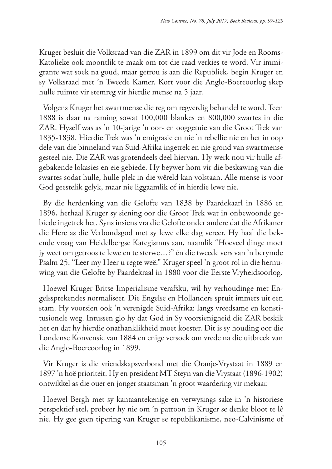Kruger besluit die Volksraad van die ZAR in 1899 om dit vir Jode en Rooms-Katolieke ook moontlik te maak om tot die raad verkies te word. Vir immigrante wat soek na goud, maar getrou is aan die Republiek, begin Kruger en sy Volksraad met 'n Tweede Kamer. Kort voor die Anglo-Boereoorlog skep hulle ruimte vir stemreg vir hierdie mense na 5 jaar.

Volgens Kruger het swartmense die reg om regverdig behandel te word. Teen 1888 is daar na raming sowat 100,000 blankes en 800,000 swartes in die ZAR. Hyself was as 'n 10-jarige 'n oor- en ooggetuie van die Groot Trek van 1835-1838. Hierdie Trek was 'n emigrasie en nie 'n rebellie nie en het in oop dele van die binneland van Suid-Afrika ingetrek en nie grond van swartmense gesteel nie. Die ZAR was grotendeels deel hiervan. Hy werk nou vir hulle afgebakende lokasies en eie gebiede. Hy beywer hom vir die beskawing van die swartes sodat hulle, hulle plek in die wêreld kan volstaan. Alle mense is voor God geestelik gelyk, maar nie liggaamlik of in hierdie lewe nie.

By die herdenking van die Gelofte van 1838 by Paardekaarl in 1886 en 1896, herhaal Kruger sy siening oor die Groot Trek wat in onbewoonde gebiede ingetrek het. Syns insiens vra die Gelofte onder andere dat die Afrikaner die Here as die Verbondsgod met sy lewe elke dag vereer. Hy haal die bekende vraag van Heidelbergse Kategismus aan, naamlik "Hoeveel dinge moet jy weet om getroos te lewe en te sterwe…?" én die tweede vers van 'n berymde Psalm 25: "Leer my Heer u regte weë." Kruger speel 'n groot rol in die hernuwing van die Gelofte by Paardekraal in 1880 voor die Eerste Vryheidsoorlog.

Hoewel Kruger Britse Imperialisme verafsku, wil hy verhoudinge met Engelssprekendes normaliseer. Die Engelse en Hollanders spruit immers uit een stam. Hy voorsien ook 'n verenigde Suid-Afrika: langs vreedsame en konstitusionele weg. Intussen glo hy dat God in Sy voorsienigheid die ZAR beskik het en dat hy hierdie onafhanklikheid moet koester. Dit is sy houding oor die Londense Konvensie van 1884 en enige versoek om vrede na die uitbreek van die Anglo-Boereoorlog in 1899.

Vir Kruger is die vriendskapsverbond met die Oranje-Vrystaat in 1889 en 1897 'n hoë prioriteit. Hy en president MT Steyn van die Vrystaat (1896-1902) ontwikkel as die ouer en jonger staatsman 'n groot waardering vir mekaar.

Hoewel Bergh met sy kantaantekenige en verwysings sake in 'n historiese perspektief stel, probeer hy nie om 'n patroon in Kruger se denke bloot te lê nie. Hy gee geen tipering van Kruger se republikanisme, neo-Calvinisme of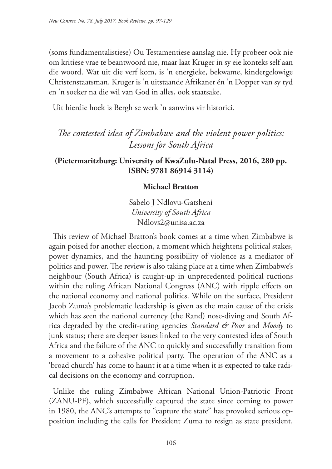(soms fundamentalistiese) Ou Testamentiese aanslag nie. Hy probeer ook nie om kritiese vrae te beantwoord nie, maar laat Kruger in sy eie konteks self aan die woord. Wat uit die verf kom, is 'n energieke, bekwame, kindergelowige Christenstaatsman. Kruger is 'n uitstaande Afrikaner én 'n Dopper van sy tyd en 'n soeker na die wil van God in alles, ook staatsake.

Uit hierdie hoek is Bergh se werk 'n aanwins vir historici.

*The contested idea of Zimbabwe and the violent power politics: Lessons for South Africa* 

## **(Pietermaritzburg: University of KwaZulu-Natal Press, 2016, 280 pp. ISBN: 9781 86914 3114)**

## **Michael Bratton**

Sabelo J Ndlovu-Gatsheni *University of South Africa* Ndlovs2@unisa.ac.za

This review of Michael Bratton's book comes at a time when Zimbabwe is again poised for another election, a moment which heightens political stakes, power dynamics, and the haunting possibility of violence as a mediator of politics and power. The review is also taking place at a time when Zimbabwe's neighbour (South Africa) is caught-up in unprecedented political ructions within the ruling African National Congress (ANC) with ripple effects on the national economy and national politics. While on the surface, President Jacob Zuma's problematic leadership is given as the main cause of the crisis which has seen the national currency (the Rand) nose-diving and South Africa degraded by the credit-rating agencies *Standard & Poor* and *Moody* to junk status; there are deeper issues linked to the very contested idea of South Africa and the failure of the ANC to quickly and successfully transition from a movement to a cohesive political party. The operation of the ANC as a 'broad church' has come to haunt it at a time when it is expected to take radical decisions on the economy and corruption.

Unlike the ruling Zimbabwe African National Union-Patriotic Front (ZANU-PF), which successfully captured the state since coming to power in 1980, the ANC's attempts to "capture the state" has provoked serious opposition including the calls for President Zuma to resign as state president.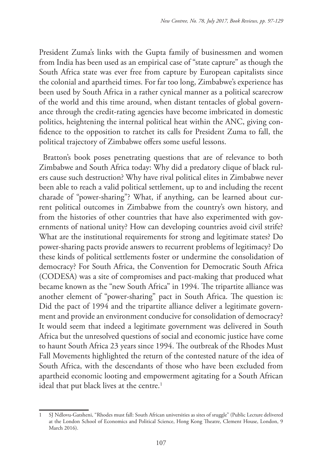President Zuma's links with the Gupta family of businessmen and women from India has been used as an empirical case of "state capture" as though the South Africa state was ever free from capture by European capitalists since the colonial and apartheid times. For far too long, Zimbabwe's experience has been used by South Africa in a rather cynical manner as a political scarecrow of the world and this time around, when distant tentacles of global governance through the credit-rating agencies have become imbricated in domestic politics, heightening the internal political heat within the ANC, giving confidence to the opposition to ratchet its calls for President Zuma to fall, the political trajectory of Zimbabwe offers some useful lessons.

Bratton's book poses penetrating questions that are of relevance to both Zimbabwe and South Africa today: Why did a predatory clique of black rulers cause such destruction? Why have rival political elites in Zimbabwe never been able to reach a valid political settlement, up to and including the recent charade of "power-sharing"? What, if anything, can be learned about current political outcomes in Zimbabwe from the country's own history, and from the histories of other countries that have also experimented with governments of national unity? How can developing countries avoid civil strife? What are the institutional requirements for strong and legitimate states? Do power-sharing pacts provide answers to recurrent problems of legitimacy? Do these kinds of political settlements foster or undermine the consolidation of democracy? For South Africa, the Convention for Democratic South Africa (CODESA) was a site of compromises and pact-making that produced what became known as the "new South Africa" in 1994. The tripartite alliance was another element of "power-sharing" pact in South Africa. The question is: Did the pact of 1994 and the tripartite alliance deliver a legitimate government and provide an environment conducive for consolidation of democracy? It would seem that indeed a legitimate government was delivered in South Africa but the unresolved questions of social and economic justice have come to haunt South Africa 23 years since 1994. The outbreak of the Rhodes Must Fall Movements highlighted the return of the contested nature of the idea of South Africa, with the descendants of those who have been excluded from apartheid economic looting and empowerment agitating for a South African ideal that put black lives at the centre.<sup>1</sup>

<sup>1</sup> SJ Ndlovu-Gatsheni, "Rhodes must fall: South African universities as sites of sruggle" (Public Lecture delivered at the London School of Economics and Political Science, Hong Kong Theatre, Clement House, London, 9 March 2016).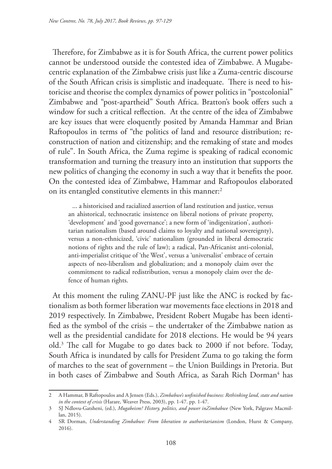Therefore, for Zimbabwe as it is for South Africa, the current power politics cannot be understood outside the contested idea of Zimbabwe. A Mugabecentric explanation of the Zimbabwe crisis just like a Zuma-centric discourse of the South African crisis is simplistic and inadequate. There is need to historicise and theorise the complex dynamics of power politics in "postcolonial" Zimbabwe and "post-apartheid" South Africa. Bratton's book offers such a window for such a critical reflection. At the centre of the idea of Zimbabwe are key issues that were eloquently posited by Amanda Hammar and Brian Raftopoulos in terms of "the politics of land and resource distribution; reconstruction of nation and citizenship; and the remaking of state and modes of rule". In South Africa, the Zuma regime is speaking of radical economic transformation and turning the treasury into an institution that supports the new politics of changing the economy in such a way that it benefits the poor. On the contested idea of Zimbabwe, Hammar and Raftopoulos elaborated on its entangled constitutive elements in this manner:<sup>2</sup>

... a historicised and racialized assertion of land restitution and justice, versus an ahistorical, technocratic insistence on liberal notions of private property, 'development' and 'good governance'; a new form of 'indigenization', authoritarian nationalism (based around claims to loyalty and national sovereignty), versus a non-ethnicized, 'civic' nationalism (grounded in liberal democratic notions of rights and the rule of law); a radical, Pan-Africanist anti-colonial, anti-imperialist critique of 'the West', versus a 'universalist' embrace of certain aspects of neo-liberalism and globalization; and a monopoly claim over the commitment to radical redistribution, versus a monopoly claim over the defence of human rights.

At this moment the ruling ZANU-PF just like the ANC is rocked by factionalism as both former liberation war movements face elections in 2018 and 2019 respectively. In Zimbabwe, President Robert Mugabe has been identified as the symbol of the crisis – the undertaker of the Zimbabwe nation as well as the presidential candidate for 2018 elections. He would be 94 years old.3 The call for Mugabe to go dates back to 2000 if not before. Today, South Africa is inundated by calls for President Zuma to go taking the form of marches to the seat of government – the Union Buildings in Pretoria. But in both cases of Zimbabwe and South Africa, as Sarah Rich Dorman<sup>4</sup> has

<sup>2</sup> A Hammar, B Raftopoulos and A Jensen (Eds.), *Zimbabwe's unfinished business: Rethinking land, state and nation in the context of crisis* (Harare, Weaver Press, 2003), pp. 1-47. pp. 1-47.

<sup>3</sup> SJ Ndlovu-Gatsheni, (ed.), *Mugabeism? History, politics, and power inZimbabwe* (New York, Palgrave Macmillan, 2015).

<sup>4</sup> SR Dorman, *Understanding Zimbabwe: From liberation to authoritarianism* (London, Hurst & Company, 2016).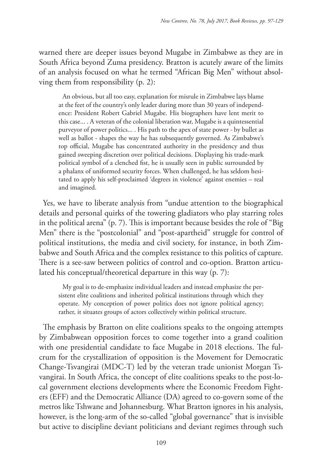warned there are deeper issues beyond Mugabe in Zimbabwe as they are in South Africa beyond Zuma presidency. Bratton is acutely aware of the limits of an analysis focused on what he termed "African Big Men" without absolving them from responsibility (p. 2):

An obvious, but all too easy, explanation for misrule in Zimbabwe lays blame at the feet of the country's only leader during more than 30 years of independence: President Robert Gabriel Mugabe. His biographers have lent merit to this case... . A veteran of the colonial liberation war, Mugabe is a quintessential purveyor of power politics... . His path to the apex of state power - by bullet as well as ballot - shapes the way he has subsequently governed. As Zimbabwe's top official, Mugabe has concentrated authority in the presidency and thus gained sweeping discretion over political decisions. Displaying his trade-mark political symbol of a clenched fist, he is usually seen in public surrounded by a phalanx of uniformed security forces. When challenged, he has seldom hesitated to apply his self-proclaimed 'degrees in violence' against enemies – real and imagined.

Yes, we have to liberate analysis from "undue attention to the biographical details and personal quirks of the towering gladiators who play starring roles in the political arena" (p. 7). This is important because besides the role of "Big Men" there is the "postcolonial" and "post-apartheid" struggle for control of political institutions, the media and civil society, for instance, in both Zimbabwe and South Africa and the complex resistance to this politics of capture. There is a see-saw between politics of control and co-option. Bratton articulated his conceptual/theoretical departure in this way (p. 7):

My goal is to de-emphasize individual leaders and instead emphasize the persistent elite coalitions and inherited political institutions through which they operate. My conception of power politics does not ignore political agency; rather, it situates groups of actors collectively within political structure.

The emphasis by Bratton on elite coalitions speaks to the ongoing attempts by Zimbabwean opposition forces to come together into a grand coalition with one presidential candidate to face Mugabe in 2018 elections. The fulcrum for the crystallization of opposition is the Movement for Democratic Change-Tsvangirai (MDC-T) led by the veteran trade unionist Morgan Tsvangirai. In South Africa, the concept of elite coalitions speaks to the post-local government elections developments where the Economic Freedom Fighters (EFF) and the Democratic Alliance (DA) agreed to co-govern some of the metros like Tshwane and Johannesburg. What Bratton ignores in his analysis, however, is the long-arm of the so-called "global governance" that is invisible but active to discipline deviant politicians and deviant regimes through such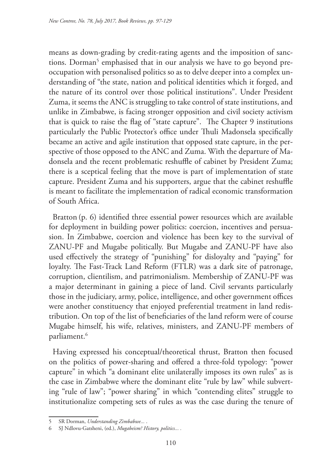means as down-grading by credit-rating agents and the imposition of sanctions. Dorman<sup>5</sup> emphasised that in our analysis we have to go beyond preoccupation with personalised politics so as to delve deeper into a complex understanding of "the state, nation and political identities which it forged, and the nature of its control over those political institutions". Under President Zuma, it seems the ANC is struggling to take control of state institutions, and unlike in Zimbabwe, is facing stronger opposition and civil society activism that is quick to raise the flag of "state capture". The Chapter 9 institutions particularly the Public Protector's office under Thuli Madonsela specifically became an active and agile institution that opposed state capture, in the perspective of those opposed to the ANC and Zuma. With the departure of Madonsela and the recent problematic reshuffle of cabinet by President Zuma; there is a sceptical feeling that the move is part of implementation of state capture. President Zuma and his supporters, argue that the cabinet reshuffle is meant to facilitate the implementation of radical economic transformation of South Africa.

Bratton (p. 6) identified three essential power resources which are available for deployment in building power politics: coercion, incentives and persuasion. In Zimbabwe, coercion and violence has been key to the survival of ZANU-PF and Mugabe politically. But Mugabe and ZANU-PF have also used effectively the strategy of "punishing" for disloyalty and "paying" for loyalty. The Fast-Track Land Reform (FTLR) was a dark site of patronage, corruption, clientilism, and patrimonialism. Membership of ZANU-PF was a major determinant in gaining a piece of land. Civil servants particularly those in the judiciary, army, police, intelligence, and other government offices were another constituency that enjoyed preferential treatment in land redistribution. On top of the list of beneficiaries of the land reform were of course Mugabe himself, his wife, relatives, ministers, and ZANU-PF members of parliament.<sup>6</sup>

Having expressed his conceptual/theoretical thrust, Bratton then focused on the politics of power-sharing and offered a three-fold typology: "power capture" in which "a dominant elite unilaterally imposes its own rules" as is the case in Zimbabwe where the dominant elite "rule by law" while subverting "rule of law"; "power sharing" in which "contending elites" struggle to institutionalize competing sets of rules as was the case during the tenure of

<sup>5</sup> SR Dorman, *Understanding Zimbabwe...* .

<sup>6</sup> SJ Ndlovu-Gatsheni, (ed.), *Mugabeism? History, politics... .*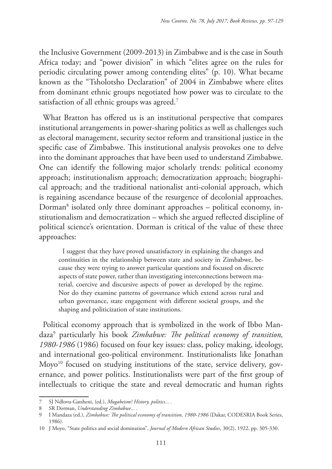the Inclusive Government (2009-2013) in Zimbabwe and is the case in South Africa today; and "power division" in which "elites agree on the rules for periodic circulating power among contending elites" (p. 10). What became known as the "Tsholotsho Declaration" of 2004 in Zimbabwe where elites from dominant ethnic groups negotiated how power was to circulate to the satisfaction of all ethnic groups was agreed.<sup>7</sup>

What Bratton has offered us is an institutional perspective that compares institutional arrangements in power-sharing politics as well as challenges such as electoral management, security sector reform and transitional justice in the specific case of Zimbabwe. This institutional analysis provokes one to delve into the dominant approaches that have been used to understand Zimbabwe. One can identify the following major scholarly trends: political economy approach; institutionalism approach; democratization approach; biographical approach; and the traditional nationalist anti-colonial approach, which is regaining ascendance because of the resurgence of decolonial approaches. Dorman8 isolated only three dominant approaches – political economy, institutionalism and democratization – which she argued reflected discipline of political science's orientation. Dorman is critical of the value of these three approaches:

I suggest that they have proved unsatisfactory in explaining the changes and continuities in the relationship between state and society in Zimbabwe, because they were trying to answer particular questions and focused on discrete aspects of state power, rather than investigating interconnections between material, coercive and discursive aspects of power as developed by the regime. Nor do they examine patterns of governance which extend across rural and urban governance, state engagement with different societal groups, and the shaping and politicization of state institutions.

Political economy approach that is symbolized in the work of Ibbo Mandaza9 particularly his book *Zimbabwe: The political economy of transition, 1980-1986* (1986) focused on four key issues: class, policy making, ideology, and international geo-political environment. Institutionalists like Jonathan Moyo<sup>10</sup> focused on studying institutions of the state, service delivery, governance, and power politics. Institutionalists were part of the first group of intellectuals to critique the state and reveal democratic and human rights

<sup>7</sup> SJ Ndlovu-Gatsheni, (ed.), *Mugabeism? History, politics... .*

<sup>8</sup> SR Dorman, *Understanding Zimbabwe...* .

<sup>9</sup> I Mandaza (ed.), *Zimbabwe: The political economy of transition, 1980-1986* (Dakar, CODESRIA Book Series, 1986).

<sup>10</sup> J Moyo, "State politics and social domination", *Journal of Modern African Studies*, 30(2), 1922, pp. 305-330.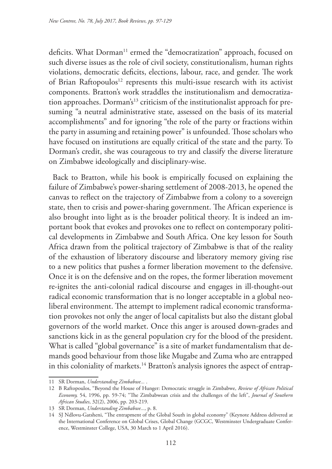deficits. What Dorman<sup>11</sup> ermed the "democratization" approach, focused on such diverse issues as the role of civil society, constitutionalism, human rights violations, democratic deficits, elections, labour, race, and gender. The work of Brian Raftopoulos<sup>12</sup> represents this multi-issue research with its activist components. Bratton's work straddles the institutionalism and democratization approaches. Dorman's<sup>13</sup> criticism of the institutionalist approach for presuming "a neutral administrative state, assessed on the basis of its material accomplishments" and for ignoring "the role of the party or fractions within the party in assuming and retaining power" is unfounded. Those scholars who have focused on institutions are equally critical of the state and the party. To Dorman's credit, she was courageous to try and classify the diverse literature on Zimbabwe ideologically and disciplinary-wise.

Back to Bratton, while his book is empirically focused on explaining the failure of Zimbabwe's power-sharing settlement of 2008-2013, he opened the canvas to reflect on the trajectory of Zimbabwe from a colony to a sovereign state, then to crisis and power-sharing government. The African experience is also brought into light as is the broader political theory. It is indeed an important book that evokes and provokes one to reflect on contemporary political developments in Zimbabwe and South Africa. One key lesson for South Africa drawn from the political trajectory of Zimbabwe is that of the reality of the exhaustion of liberatory discourse and liberatory memory giving rise to a new politics that pushes a former liberation movement to the defensive. Once it is on the defensive and on the ropes, the former liberation movement re-ignites the anti-colonial radical discourse and engages in ill-thought-out radical economic transformation that is no longer acceptable in a global neoliberal environment. The attempt to implement radical economic transformation provokes not only the anger of local capitalists but also the distant global governors of the world market. Once this anger is aroused down-grades and sanctions kick in as the general population cry for the blood of the president. What is called "global governance" is a site of market fundamentalism that demands good behaviour from those like Mugabe and Zuma who are entrapped in this coloniality of markets.<sup>14</sup> Bratton's analysis ignores the aspect of entrap-

<sup>11</sup> SR Dorman, *Understanding Zimbabwe...* .

<sup>12</sup> B Raftopoulos, "Beyond the House of Hunger: Democratic struggle in Zimbabwe, *Review of African Political Economy,* 54, 1996, pp. 59-74; "The Zimbabwean crisis and the challenges of the left", *Journal of Southern African Studies*, 32(2), 2006, pp. 203-219.

<sup>13</sup> SR Dorman, *Understanding Zimbabwe...,* p. 8.

<sup>14</sup> SJ Ndlovu-Gatsheni, "The entrapment of the Global South in global economy" (Keynote Address delivered at the International Conference on Global Crises, Global Change (GCGC, Westminster Undergraduate Conference, Westminster College, USA, 30 March to 1 April 2016).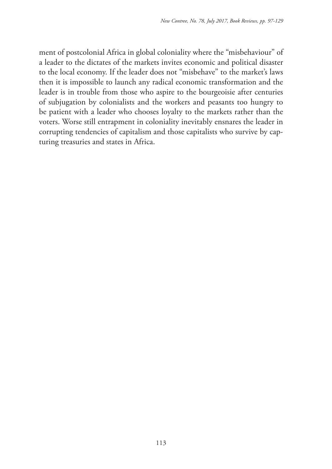ment of postcolonial Africa in global coloniality where the "misbehaviour" of a leader to the dictates of the markets invites economic and political disaster to the local economy. If the leader does not "misbehave" to the market's laws then it is impossible to launch any radical economic transformation and the leader is in trouble from those who aspire to the bourgeoisie after centuries of subjugation by colonialists and the workers and peasants too hungry to be patient with a leader who chooses loyalty to the markets rather than the voters. Worse still entrapment in coloniality inevitably ensnares the leader in corrupting tendencies of capitalism and those capitalists who survive by capturing treasuries and states in Africa.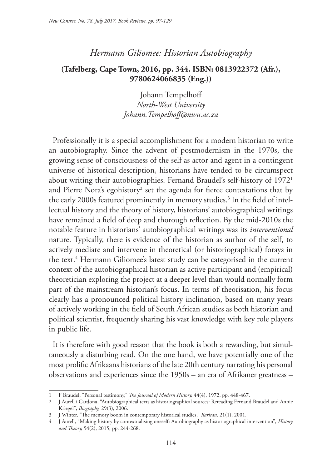# *Hermann Giliomee: Historian Autobiography*

## **(Tafelberg, Cape Town, 2016, pp. 344. ISBN: 0813922372 (Afr.), 9780624066835 (Eng.))**

Johann Tempelhoff *North-West University Johann.Tempelhoff@nwu.ac.za*

Professionally it is a special accomplishment for a modern historian to write an autobiography. Since the advent of postmodernism in the 1970s, the growing sense of consciousness of the self as actor and agent in a contingent universe of historical description, historians have tended to be circumspect about writing their autobiographies. Fernand Braudel's self-history of 19721 and Pierre Nora's egohistory $^2$  set the agenda for fierce contestations that by the early 2000s featured prominently in memory studies. $^3$  In the field of intellectual history and the theory of history, historians' autobiographical writings have remained a field of deep and thorough reflection. By the mid-2010s the notable feature in historians' autobiographical writings was its *interventional*  nature. Typically, there is evidence of the historian as author of the self, to actively mediate and intervene in theoretical (or historiographical) forays in the text.4 Hermann Giliomee's latest study can be categorised in the current context of the autobiographical historian as active participant and (empirical) theoretician exploring the project at a deeper level than would normally form part of the mainstream historian's focus. In terms of theorisation, his focus clearly has a pronounced political history inclination, based on many years of actively working in the field of South African studies as both historian and political scientist, frequently sharing his vast knowledge with key role players in public life.

It is therefore with good reason that the book is both a rewarding, but simultaneously a disturbing read. On the one hand, we have potentially one of the most prolific Afrikaans historians of the late 20th century narrating his personal observations and experiences since the 1950s – an era of Afrikaner greatness –

<sup>1</sup> F Braudel, "Personal testimony," *The Journal of Modern History,* 44(4), 1972, pp. 448-467.

<sup>2</sup> J Aurell i Cardona, "Autobiographical texts as historiographical sources: Rereading Fernand Braudel and Annie Kriegel", *Biography,* 29(3), 2006.

<sup>3</sup> J Winter, "The memory boom in contemporary historical studies," *Raritan,* 21(1), 2001.

<sup>4</sup> J Aurell, "Making history by contextualising oneself: Autobiography as historiographical intervention", *History and Theory,* 54(2), 2015, pp. 244-268.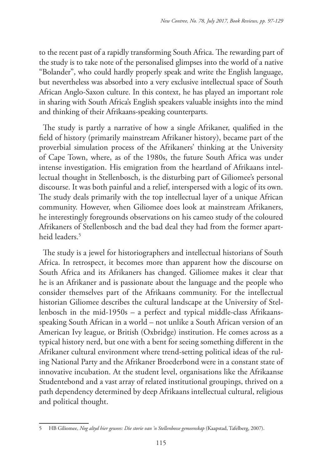to the recent past of a rapidly transforming South Africa. The rewarding part of the study is to take note of the personalised glimpses into the world of a native "Bolander", who could hardly properly speak and write the English language, but nevertheless was absorbed into a very exclusive intellectual space of South African Anglo-Saxon culture. In this context, he has played an important role in sharing with South Africa's English speakers valuable insights into the mind and thinking of their Afrikaans-speaking counterparts.

The study is partly a narrative of how a single Afrikaner, qualified in the field of history (primarily mainstream Afrikaner history), became part of the proverbial simulation process of the Afrikaners' thinking at the University of Cape Town, where, as of the 1980s, the future South Africa was under intense investigation. His emigration from the heartland of Afrikaans intellectual thought in Stellenbosch, is the disturbing part of Giliomee's personal discourse. It was both painful and a relief, interspersed with a logic of its own. The study deals primarily with the top intellectual layer of a unique African community. However, when Giliomee does look at mainstream Afrikaners, he interestingly foregrounds observations on his cameo study of the coloured Afrikaners of Stellenbosch and the bad deal they had from the former apartheid leaders.5

The study is a jewel for historiographers and intellectual historians of South Africa. In retrospect, it becomes more than apparent how the discourse on South Africa and its Afrikaners has changed. Giliomee makes it clear that he is an Afrikaner and is passionate about the language and the people who consider themselves part of the Afrikaans community. For the intellectual historian Giliomee describes the cultural landscape at the University of Stellenbosch in the mid-1950s – a perfect and typical middle-class Afrikaansspeaking South African in a world – not unlike a South African version of an American Ivy league, or British (Oxbridge) institution. He comes across as a typical history nerd, but one with a bent for seeing something different in the Afrikaner cultural environment where trend-setting political ideas of the ruling National Party and the Afrikaner Broederbond were in a constant state of innovative incubation. At the student level, organisations like the Afrikaanse Studentebond and a vast array of related institutional groupings, thrived on a path dependency determined by deep Afrikaans intellectual cultural, religious and political thought.

<sup>5</sup> HB Giliomee, *Nog altyd hier gewees: Die storie van 'n Stellenbosse gemeenskap* (Kaapstad, Tafelberg, 2007).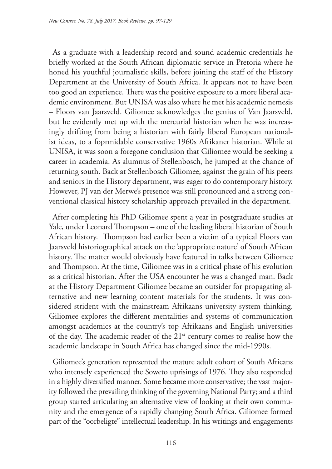As a graduate with a leadership record and sound academic credentials he briefly worked at the South African diplomatic service in Pretoria where he honed his youthful journalistic skills, before joining the staff of the History Department at the University of South Africa. It appears not to have been too good an experience. There was the positive exposure to a more liberal academic environment. But UNISA was also where he met his academic nemesis – Floors van Jaarsveld. Giliomee acknowledges the genius of Van Jaarsveld, but he evidently met up with the mercurial historian when he was increasingly drifting from being a historian with fairly liberal European nationalist ideas, to a foprmidable conservative 1960s Afrikaner historian. While at UNISA, it was soon a foregone conclusion that Giliomee would be seeking a career in academia. As alumnus of Stellenbosch, he jumped at the chance of returning south. Back at Stellenbosch Giliomee, against the grain of his peers and seniors in the History department, was eager to do contemporary history. However, PJ van der Merwe's presence was still pronounced and a strong conventional classical history scholarship approach prevailed in the department.

After completing his PhD Giliomee spent a year in postgraduate studies at Yale, under Leonard Thompson – one of the leading liberal historian of South African history. Thompson had earlier been a victim of a typical Floors van Jaarsveld historiographical attack on the 'appropriate nature' of South African history. The matter would obviously have featured in talks between Giliomee and Thompson. At the time, Giliomee was in a critical phase of his evolution as a critical historian. After the USA encounter he was a changed man. Back at the History Department Giliomee became an outsider for propagating alternative and new learning content materials for the students. It was considered strident with the mainstream Afrikaans university system thinking. Giliomee explores the different mentalities and systems of communication amongst academics at the country's top Afrikaans and English universities of the day. The academic reader of the 21<sup>st</sup> century comes to realise how the academic landscape in South Africa has changed since the mid-1990s.

Giliomee's generation represented the mature adult cohort of South Africans who intensely experienced the Soweto uprisings of 1976. They also responded in a highly diversified manner. Some became more conservative; the vast majority followed the prevailing thinking of the governing National Party; and a third group started articulating an alternative view of looking at their own community and the emergence of a rapidly changing South Africa. Giliomee formed part of the "oorbeligte" intellectual leadership. In his writings and engagements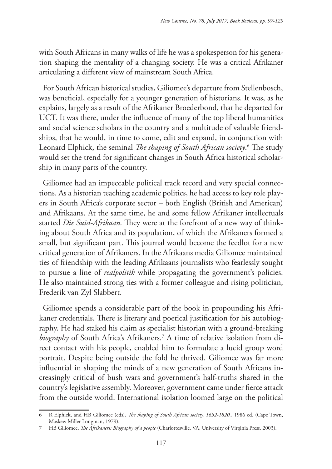with South Africans in many walks of life he was a spokesperson for his generation shaping the mentality of a changing society. He was a critical Afrikaner articulating a different view of mainstream South Africa.

For South African historical studies, Giliomee's departure from Stellenbosch, was beneficial, especially for a younger generation of historians. It was, as he explains, largely as a result of the Afrikaner Broederbond, that he departed for UCT. It was there, under the influence of many of the top liberal humanities and social science scholars in the country and a multitude of valuable friendships, that he would, in time to come, edit and expand, in conjunction with Leonard Elphick, the seminal *The shaping of South African society*. 6 The study would set the trend for significant changes in South Africa historical scholarship in many parts of the country.

Giliomee had an impeccable political track record and very special connections. As a historian teaching academic politics, he had access to key role players in South Africa's corporate sector – both English (British and American) and Afrikaans. At the same time, he and some fellow Afrikaner intellectuals started *Die Suid-Afrikaan.* They were at the forefront of a new way of thinking about South Africa and its population, of which the Afrikaners formed a small, but significant part. This journal would become the feedlot for a new critical generation of Afrikaners. In the Afrikaans media Giliomee maintained ties of friendship with the leading Afrikaans journalists who fearlessly sought to pursue a line of *realpolitik* while propagating the government's policies. He also maintained strong ties with a former colleague and rising politician, Frederik van Zyl Slabbert.

Giliomee spends a considerable part of the book in propounding his Afrikaner credentials. There is literary and poetical justification for his autobiography. He had staked his claim as specialist historian with a ground-breaking *biography* of South Africa's Afrikaners.7 A time of relative isolation from direct contact with his people, enabled him to formulate a lucid group word portrait. Despite being outside the fold he thrived. Giliomee was far more influential in shaping the minds of a new generation of South Africans increasingly critical of bush wars and government's half-truths shared in the country's legislative assembly. Moreover, government came under fierce attack from the outside world. International isolation loomed large on the political

<sup>6</sup> R Elphick, and HB Giliomee (eds), *The shaping of South African society, 1652-1820.*, 1986 ed. (Cape Town, Maskew Miller Longman, 1979).

<sup>7</sup> HB Giliomee, *The Afrikaners: Biography of a people* (Charlottesville, VA, University of Virginia Press, 2003).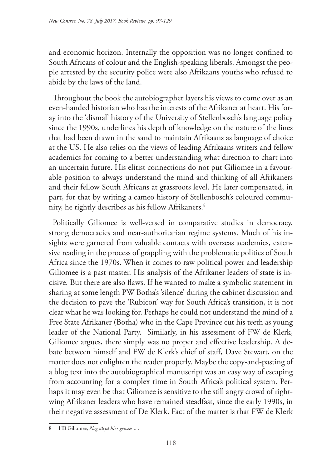and economic horizon. Internally the opposition was no longer confined to South Africans of colour and the English-speaking liberals. Amongst the people arrested by the security police were also Afrikaans youths who refused to abide by the laws of the land.

Throughout the book the autobiographer layers his views to come over as an even-handed historian who has the interests of the Afrikaner at heart. His foray into the 'dismal' history of the University of Stellenbosch's language policy since the 1990s, underlines his depth of knowledge on the nature of the lines that had been drawn in the sand to maintain Afrikaans as language of choice at the US. He also relies on the views of leading Afrikaans writers and fellow academics for coming to a better understanding what direction to chart into an uncertain future. His elitist connections do not put Giliomee in a favourable position to always understand the mind and thinking of all Afrikaners and their fellow South Africans at grassroots level. He later compensated, in part, for that by writing a cameo history of Stellenbosch's coloured community, he rightly describes as his fellow Afrikaners.8

Politically Giliomee is well-versed in comparative studies in democracy, strong democracies and near-authoritarian regime systems. Much of his insights were garnered from valuable contacts with overseas academics, extensive reading in the process of grappling with the problematic politics of South Africa since the 1970s. When it comes to raw political power and leadership Giliomee is a past master. His analysis of the Afrikaner leaders of state is incisive. But there are also flaws. If he wanted to make a symbolic statement in sharing at some length PW Botha's 'silence' during the cabinet discussion and the decision to pave the 'Rubicon' way for South Africa's transition, it is not clear what he was looking for. Perhaps he could not understand the mind of a Free State Afrikaner (Botha) who in the Cape Province cut his teeth as young leader of the National Party. Similarly, in his assessment of FW de Klerk, Giliomee argues, there simply was no proper and effective leadership. A debate between himself and FW de Klerk's chief of staff, Dave Stewart, on the matter does not enlighten the reader properly. Maybe the copy-and-pasting of a blog text into the autobiographical manuscript was an easy way of escaping from accounting for a complex time in South Africa's political system. Perhaps it may even be that Giliomee is sensitive to the still angry crowd of rightwing Afrikaner leaders who have remained steadfast, since the early 1990s, in their negative assessment of De Klerk. Fact of the matter is that FW de Klerk

<sup>8</sup> HB Giliomee, *Nog altyd hier gewees... .*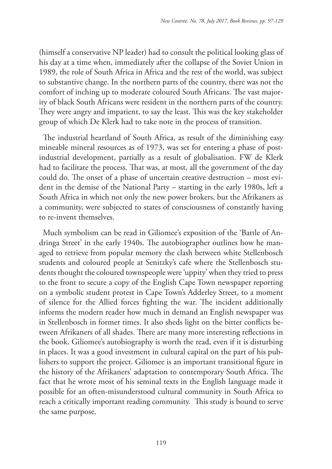(himself a conservative NP leader) had to consult the political looking glass of his day at a time when, immediately after the collapse of the Soviet Union in 1989, the role of South Africa in Africa and the rest of the world, was subject to substantive change. In the northern parts of the country, there was not the comfort of inching up to moderate coloured South Africans. The vast majority of black South Africans were resident in the northern parts of the country. They were angry and impatient, to say the least. This was the key stakeholder group of which De Klerk had to take note in the process of transition.

The industrial heartland of South Africa, as result of the diminishing easy mineable mineral resources as of 1973, was set for entering a phase of postindustrial development, partially as a result of globalisation. FW de Klerk had to facilitate the process. That was, at most, all the government of the day could do. The onset of a phase of uncertain creative destruction – most evident in the demise of the National Party – starting in the early 1980s, left a South Africa in which not only the new power brokers, but the Afrikaners as a community, were subjected to states of consciousness of constantly having to re-invent themselves.

Much symbolism can be read in Giliomee's exposition of the 'Battle of Andringa Street' in the early 1940s. The autobiographer outlines how he managed to retrieve from popular memory the clash between white Stellenbosch students and coloured people at Senitzky's cafe where the Stellenbosch students thought the coloured townspeople were 'uppity' when they tried to press to the front to secure a copy of the English Cape Town newspaper reporting on a symbolic student protest in Cape Town's Adderley Street, to a moment of silence for the Allied forces fighting the war. The incident additionally informs the modern reader how much in demand an English newspaper was in Stellenbosch in former times. It also sheds light on the bitter conflicts between Afrikaners of all shades. There are many more interesting reflections in the book. Giliomee's autobiography is worth the read, even if it is disturbing in places. It was a good investment in cultural capital on the part of his publishers to support the project. Giliomee is an important transitional figure in the history of the Afrikaners' adaptation to contemporary South Africa. The fact that he wrote most of his seminal texts in the English language made it possible for an often-misunderstood cultural community in South Africa to reach a critically important reading community. This study is bound to serve the same purpose.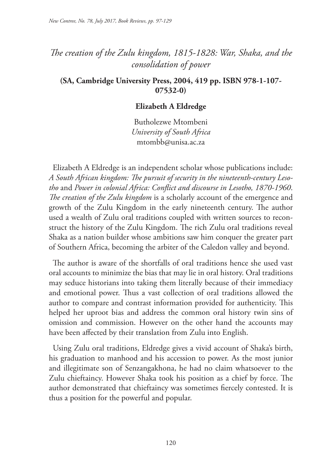# *The creation of the Zulu kingdom, 1815-1828: War, Shaka, and the consolidation of power*

**(SA, Cambridge University Press, 2004, 419 pp. ISBN 978-1-107- 07532-0)**

#### **Elizabeth A Eldredge**

Butholezwe Mtombeni *University of South Africa* mtombb@unisa.ac.za

Elizabeth A Eldredge is an independent scholar whose publications include: *A South African kingdom: The pursuit of security in the nineteenth-century Lesotho* and *Power in colonial Africa: Conflict and discourse in Lesotho, 1870-1960*. *The creation of the Zulu kingdom* is a scholarly account of the emergence and growth of the Zulu Kingdom in the early nineteenth century. The author used a wealth of Zulu oral traditions coupled with written sources to reconstruct the history of the Zulu Kingdom. The rich Zulu oral traditions reveal Shaka as a nation builder whose ambitions saw him conquer the greater part of Southern Africa, becoming the arbiter of the Caledon valley and beyond.

The author is aware of the shortfalls of oral traditions hence she used vast oral accounts to minimize the bias that may lie in oral history. Oral traditions may seduce historians into taking them literally because of their immediacy and emotional power. Thus a vast collection of oral traditions allowed the author to compare and contrast information provided for authenticity. This helped her uproot bias and address the common oral history twin sins of omission and commission. However on the other hand the accounts may have been affected by their translation from Zulu into English.

Using Zulu oral traditions, Eldredge gives a vivid account of Shaka's birth, his graduation to manhood and his accession to power. As the most junior and illegitimate son of Senzangakhona, he had no claim whatsoever to the Zulu chieftaincy. However Shaka took his position as a chief by force. The author demonstrated that chieftaincy was sometimes fiercely contested. It is thus a position for the powerful and popular.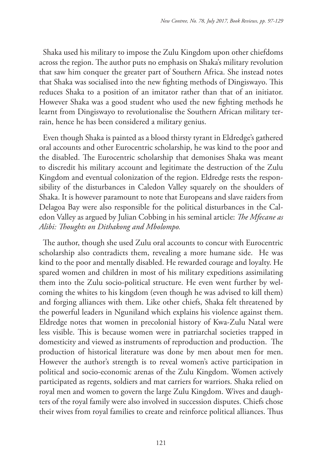Shaka used his military to impose the Zulu Kingdom upon other chiefdoms across the region. The author puts no emphasis on Shaka's military revolution that saw him conquer the greater part of Southern Africa. She instead notes that Shaka was socialised into the new fighting methods of Dingiswayo. This reduces Shaka to a position of an imitator rather than that of an initiator. However Shaka was a good student who used the new fighting methods he learnt from Dingiswayo to revolutionalise the Southern African military terrain, hence he has been considered a military genius.

Even though Shaka is painted as a blood thirsty tyrant in Eldredge's gathered oral accounts and other Eurocentric scholarship, he was kind to the poor and the disabled. The Eurocentric scholarship that demonises Shaka was meant to discredit his military account and legitimate the destruction of the Zulu Kingdom and eventual colonization of the region. Eldredge rests the responsibility of the disturbances in Caledon Valley squarely on the shoulders of Shaka. It is however paramount to note that Europeans and slave raiders from Delagoa Bay were also responsible for the political disturbances in the Caledon Valley as argued by Julian Cobbing in his seminal article: *The Mfecane as Alibi: Thoughts on Dithakong and Mbolompo.*

The author, though she used Zulu oral accounts to concur with Eurocentric scholarship also contradicts them, revealing a more humane side. He was kind to the poor and mentally disabled. He rewarded courage and loyalty. He spared women and children in most of his military expeditions assimilating them into the Zulu socio-political structure. He even went further by welcoming the whites to his kingdom (even though he was advised to kill them) and forging alliances with them. Like other chiefs, Shaka felt threatened by the powerful leaders in Nguniland which explains his violence against them. Eldredge notes that women in precolonial history of Kwa-Zulu Natal were less visible. This is because women were in patriarchal societies trapped in domesticity and viewed as instruments of reproduction and production. The production of historical literature was done by men about men for men. However the author's strength is to reveal women's active participation in political and socio-economic arenas of the Zulu Kingdom. Women actively participated as regents, soldiers and mat carriers for warriors. Shaka relied on royal men and women to govern the large Zulu Kingdom. Wives and daughters of the royal family were also involved in succession disputes. Chiefs chose their wives from royal families to create and reinforce political alliances. Thus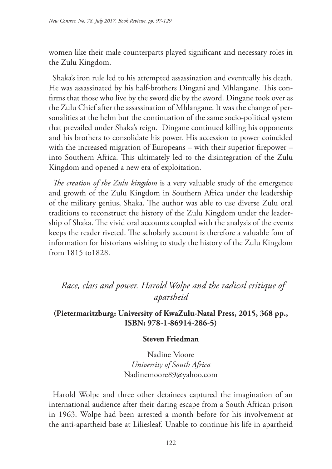women like their male counterparts played significant and necessary roles in the Zulu Kingdom.

Shaka's iron rule led to his attempted assassination and eventually his death. He was assassinated by his half-brothers Dingani and Mhlangane. This confirms that those who live by the sword die by the sword. Dingane took over as the Zulu Chief after the assassination of Mhlangane. It was the change of personalities at the helm but the continuation of the same socio-political system that prevailed under Shaka's reign. Dingane continued killing his opponents and his brothers to consolidate his power. His accession to power coincided with the increased migration of Europeans – with their superior firepower – into Southern Africa. This ultimately led to the disintegration of the Zulu Kingdom and opened a new era of exploitation.

*The creation of the Zulu kingdom* is a very valuable study of the emergence and growth of the Zulu Kingdom in Southern Africa under the leadership of the military genius, Shaka. The author was able to use diverse Zulu oral traditions to reconstruct the history of the Zulu Kingdom under the leadership of Shaka. The vivid oral accounts coupled with the analysis of the events keeps the reader riveted. The scholarly account is therefore a valuable font of information for historians wishing to study the history of the Zulu Kingdom from 1815 to1828.

# *Race, class and power. Harold Wolpe and the radical critique of apartheid*

## **(Pietermaritzburg: University of KwaZulu-Natal Press, 2015, 368 pp., ISBN: 978-1-86914-286-5)**

## **Steven Friedman**

Nadine Moore *University of South Africa* Nadinemoore89@yahoo.com

Harold Wolpe and three other detainees captured the imagination of an international audience after their daring escape from a South African prison in 1963. Wolpe had been arrested a month before for his involvement at the anti-apartheid base at Liliesleaf. Unable to continue his life in apartheid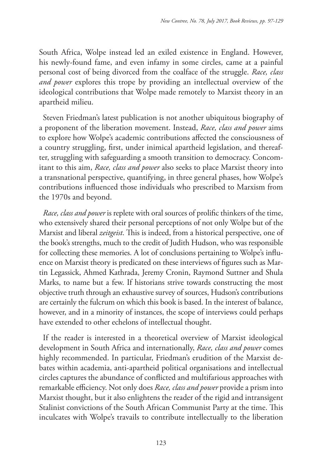South Africa, Wolpe instead led an exiled existence in England. However, his newly-found fame, and even infamy in some circles, came at a painful personal cost of being divorced from the coalface of the struggle. *Race, class and power* explores this trope by providing an intellectual overview of the ideological contributions that Wolpe made remotely to Marxist theory in an apartheid milieu.

Steven Friedman's latest publication is not another ubiquitous biography of a proponent of the liberation movement. Instead, *Race, class and power* aims to explore how Wolpe's academic contributions affected the consciousness of a country struggling, first, under inimical apartheid legislation, and thereafter, struggling with safeguarding a smooth transition to democracy. Concomitant to this aim, *Race, class and power* also seeks to place Marxist theory into a transnational perspective, quantifying, in three general phases, how Wolpe's contributions influenced those individuals who prescribed to Marxism from the 1970s and beyond.

*Race, class and power* is replete with oral sources of prolific thinkers of the time, who extensively shared their personal perceptions of not only Wolpe but of the Marxist and liberal *zeitgeist*. This is indeed, from a historical perspective, one of the book's strengths, much to the credit of Judith Hudson, who was responsible for collecting these memories. A lot of conclusions pertaining to Wolpe's influence on Marxist theory is predicated on these interviews of figures such as Martin Legassick, Ahmed Kathrada, Jeremy Cronin, Raymond Suttner and Shula Marks, to name but a few. If historians strive towards constructing the most objective truth through an exhaustive survey of sources, Hudson's contributions are certainly the fulcrum on which this book is based. In the interest of balance, however, and in a minority of instances, the scope of interviews could perhaps have extended to other echelons of intellectual thought.

If the reader is interested in a theoretical overview of Marxist ideological development in South Africa and internationally, *Race, class and power* comes highly recommended. In particular, Friedman's erudition of the Marxist debates within academia, anti-apartheid political organisations and intellectual circles captures the abundance of conflicted and multifarious approaches with remarkable efficiency. Not only does *Race, class and power* provide a prism into Marxist thought, but it also enlightens the reader of the rigid and intransigent Stalinist convictions of the South African Communist Party at the time. This inculcates with Wolpe's travails to contribute intellectually to the liberation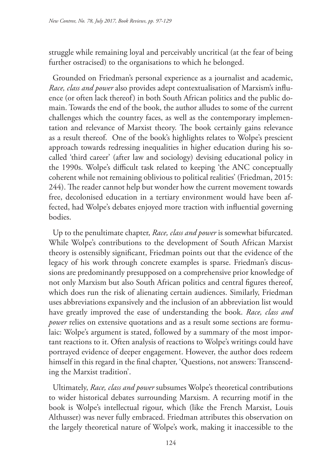struggle while remaining loyal and perceivably uncritical (at the fear of being further ostracised) to the organisations to which he belonged.

Grounded on Friedman's personal experience as a journalist and academic, *Race, class and power* also provides adept contextualisation of Marxism's influence (or often lack thereof) in both South African politics and the public domain. Towards the end of the book, the author alludes to some of the current challenges which the country faces, as well as the contemporary implementation and relevance of Marxist theory. The book certainly gains relevance as a result thereof. One of the book's highlights relates to Wolpe's prescient approach towards redressing inequalities in higher education during his socalled 'third career' (after law and sociology) devising educational policy in the 1990s. Wolpe's difficult task related to keeping 'the ANC conceptually coherent while not remaining oblivious to political realities' (Friedman, 2015: 244). The reader cannot help but wonder how the current movement towards free, decolonised education in a tertiary environment would have been affected, had Wolpe's debates enjoyed more traction with influential governing bodies.

Up to the penultimate chapter, *Race, class and power* is somewhat bifurcated. While Wolpe's contributions to the development of South African Marxist theory is ostensibly significant, Friedman points out that the evidence of the legacy of his work through concrete examples is sparse. Friedman's discussions are predominantly presupposed on a comprehensive prior knowledge of not only Marxism but also South African politics and central figures thereof, which does run the risk of alienating certain audiences. Similarly, Friedman uses abbreviations expansively and the inclusion of an abbreviation list would have greatly improved the ease of understanding the book. *Race, class and power* relies on extensive quotations and as a result some sections are formulaic: Wolpe's argument is stated, followed by a summary of the most important reactions to it. Often analysis of reactions to Wolpe's writings could have portrayed evidence of deeper engagement. However, the author does redeem himself in this regard in the final chapter, 'Questions, not answers: Transcending the Marxist tradition'.

Ultimately, *Race, class and power* subsumes Wolpe's theoretical contributions to wider historical debates surrounding Marxism. A recurring motif in the book is Wolpe's intellectual rigour, which (like the French Marxist, Louis Althusser) was never fully embraced. Friedman attributes this observation on the largely theoretical nature of Wolpe's work, making it inaccessible to the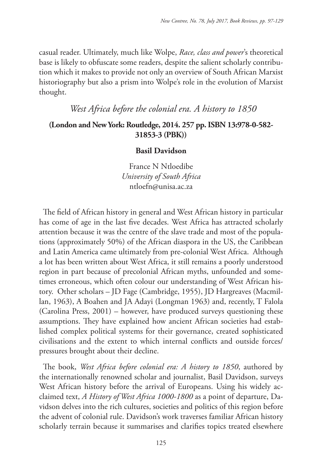casual reader. Ultimately, much like Wolpe, *Race, class and power*'s theoretical base is likely to obfuscate some readers, despite the salient scholarly contribution which it makes to provide not only an overview of South African Marxist historiography but also a prism into Wolpe's role in the evolution of Marxist thought.

# *West Africa before the colonial era. A history to 1850*

## **(London and New York: Routledge, 2014. 257 pp. ISBN 13:978-0-582- 31853-3 (PBK))**

## **Basil Davidson**

France N Ntloedibe *University of South Africa* ntloefn@unisa.ac.za

The field of African history in general and West African history in particular has come of age in the last five decades. West Africa has attracted scholarly attention because it was the centre of the slave trade and most of the populations (approximately 50%) of the African diaspora in the US, the Caribbean and Latin America came ultimately from pre-colonial West Africa. Although a lot has been written about West Africa, it still remains a poorly understood region in part because of precolonial African myths, unfounded and sometimes erroneous, which often colour our understanding of West African history. Other scholars – JD Fage (Cambridge, 1955), JD Hargreaves (Macmillan, 1963), A Boahen and JA Adayi (Longman 1963) and, recently, T Falola (Carolina Press, 2001) – however, have produced surveys questioning these assumptions. They have explained how ancient African societies had established complex political systems for their governance, created sophisticated civilisations and the extent to which internal conflicts and outside forces/ pressures brought about their decline.

The book, *West Africa before colonial era: A history to 1850*, authored by the internationally renowned scholar and journalist, Basil Davidson, surveys West African history before the arrival of Europeans. Using his widely acclaimed text, *A History of West Africa 1000-1800* as a point of departure, Davidson delves into the rich cultures, societies and politics of this region before the advent of colonial rule. Davidson's work traverses familiar African history scholarly terrain because it summarises and clarifies topics treated elsewhere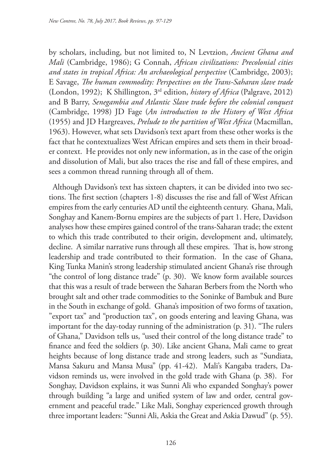by scholars, including, but not limited to, N Levtzion, *Ancient Ghana and Mali* (Cambridge, 1986); G Connah, *African civilizations: Precolonial cities and states in tropical Africa: An archaeological perspective* (Cambridge, 2003); E Savage, *The human commodity: Perspectives on the Trans-Saharan slave trade* (London, 1992); K Shillington, 3rd edition, *history of Africa* (Palgrave, 2012) and B Barry, *Senegambia and Atlantic Slave trade before the colonial conquest*  (Cambridge, 1998) JD Fage (*An introduction to the History of West Africa*  (1955) and JD Hargreaves, *Prelude to the partition of West Africa* (Macmillan, 1963). However, what sets Davidson's text apart from these other works is the fact that he contextualizes West African empires and sets them in their broader context. He provides not only new information, as in the case of the origin and dissolution of Mali, but also traces the rise and fall of these empires, and sees a common thread running through all of them.

Although Davidson's text has sixteen chapters, it can be divided into two sections. The first section (chapters 1-8) discusses the rise and fall of West African empires from the early centuries AD until the eighteenth century. Ghana, Mali, Songhay and Kanem-Bornu empires are the subjects of part 1. Here, Davidson analyses how these empires gained control of the trans-Saharan trade; the extent to which this trade contributed to their origin, development and, ultimately, decline. A similar narrative runs through all these empires. That is, how strong leadership and trade contributed to their formation. In the case of Ghana, King Tunka Manin's strong leadership stimulated ancient Ghana's rise through "the control of long distance trade" (p. 30). We know form available sources that this was a result of trade between the Saharan Berbers from the North who brought salt and other trade commodities to the Soninke of Bambuk and Bure in the South in exchange of gold. Ghana's imposition of two forms of taxation, "export tax" and "production tax", on goods entering and leaving Ghana, was important for the day-today running of the administration (p. 31). "The rulers of Ghana," Davidson tells us, "used their control of the long distance trade" to finance and feed the soldiers (p. 30). Like ancient Ghana, Mali came to great heights because of long distance trade and strong leaders, such as "Sundiata, Mansa Sakuru and Mansa Musa" (pp. 41-42). Mali's Kangaba traders, Davidson reminds us, were involved in the gold trade with Ghana (p. 38). For Songhay, Davidson explains, it was Sunni Ali who expanded Songhay's power through building "a large and unified system of law and order, central government and peaceful trade." Like Mali, Songhay experienced growth through three important leaders: "Sunni Ali, Askia the Great and Askia Dawud" (p. 55).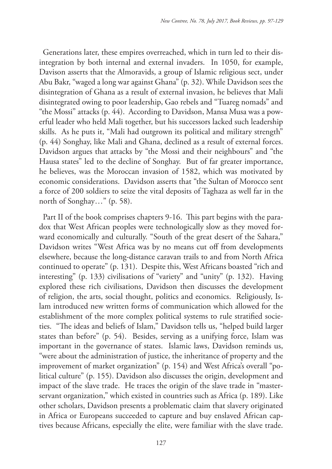Generations later, these empires overreached, which in turn led to their disintegration by both internal and external invaders. In 1050, for example, Davison asserts that the Almoravids, a group of Islamic religious sect, under Abu Bakr, "waged a long war against Ghana" (p. 32). While Davidson sees the disintegration of Ghana as a result of external invasion, he believes that Mali disintegrated owing to poor leadership, Gao rebels and "Tuareg nomads" and "the Mossi" attacks (p. 44). According to Davidson, Mansa Musa was a powerful leader who held Mali together, but his successors lacked such leadership skills. As he puts it, "Mali had outgrown its political and military strength" (p. 44) Songhay, like Mali and Ghana, declined as a result of external forces. Davidson argues that attacks by "the Mossi and their neighbours" and "the Hausa states" led to the decline of Songhay. But of far greater importance, he believes, was the Moroccan invasion of 1582, which was motivated by economic considerations. Davidson asserts that "the Sultan of Morocco sent a force of 200 soldiers to seize the vital deposits of Taghaza as well far in the north of Songhay…" (p. 58).

Part II of the book comprises chapters 9-16. This part begins with the paradox that West African peoples were technologically slow as they moved forward economically and culturally. "South of the great desert of the Sahara," Davidson writes "West Africa was by no means cut off from developments elsewhere, because the long-distance caravan trails to and from North Africa continued to operate" (p. 131). Despite this, West Africans boasted "rich and interesting" (p. 133) civilisations of "variety" and "unity" (p. 132). Having explored these rich civilisations, Davidson then discusses the development of religion, the arts, social thought, politics and economics. Religiously, Islam introduced new written forms of communication which allowed for the establishment of the more complex political systems to rule stratified societies. "The ideas and beliefs of Islam," Davidson tells us, "helped build larger states than before" (p. 54). Besides, serving as a unifying force, Islam was important in the governance of states. Islamic laws, Davidson reminds us, "were about the administration of justice, the inheritance of property and the improvement of market organization" (p. 154) and West Africa's overall "political culture" (p. 155). Davidson also discusses the origin, development and impact of the slave trade. He traces the origin of the slave trade in "masterservant organization," which existed in countries such as Africa (p. 189). Like other scholars, Davidson presents a problematic claim that slavery originated in Africa or Europeans succeeded to capture and buy enslaved African captives because Africans, especially the elite, were familiar with the slave trade.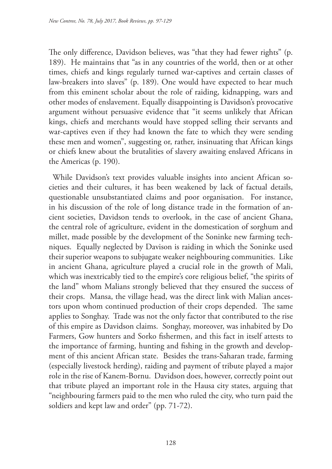The only difference, Davidson believes, was "that they had fewer rights" (p. 189). He maintains that "as in any countries of the world, then or at other times, chiefs and kings regularly turned war-captives and certain classes of law-breakers into slaves" (p. 189). One would have expected to hear much from this eminent scholar about the role of raiding, kidnapping, wars and other modes of enslavement. Equally disappointing is Davidson's provocative argument without persuasive evidence that "it seems unlikely that African kings, chiefs and merchants would have stopped selling their servants and war-captives even if they had known the fate to which they were sending these men and women", suggesting or, rather, insinuating that African kings or chiefs knew about the brutalities of slavery awaiting enslaved Africans in the Americas (p. 190).

While Davidson's text provides valuable insights into ancient African societies and their cultures, it has been weakened by lack of factual details, questionable unsubstantiated claims and poor organisation. For instance, in his discussion of the role of long distance trade in the formation of ancient societies, Davidson tends to overlook, in the case of ancient Ghana, the central role of agriculture, evident in the domestication of sorghum and millet, made possible by the development of the Soninke new farming techniques. Equally neglected by Davison is raiding in which the Soninke used their superior weapons to subjugate weaker neighbouring communities. Like in ancient Ghana, agriculture played a crucial role in the growth of Mali, which was inextricably tied to the empire's core religious belief, "the spirits of the land" whom Malians strongly believed that they ensured the success of their crops. Mansa, the village head, was the direct link with Malian ancestors upon whom continued production of their crops depended. The same applies to Songhay. Trade was not the only factor that contributed to the rise of this empire as Davidson claims. Songhay, moreover, was inhabited by Do Farmers, Gow hunters and Sorko fishermen, and this fact in itself attests to the importance of farming, hunting and fishing in the growth and development of this ancient African state. Besides the trans-Saharan trade, farming (especially livestock herding), raiding and payment of tribute played a major role in the rise of Kanem-Bornu. Davidson does, however, correctly point out that tribute played an important role in the Hausa city states, arguing that "neighbouring farmers paid to the men who ruled the city, who turn paid the soldiers and kept law and order" (pp. 71-72).